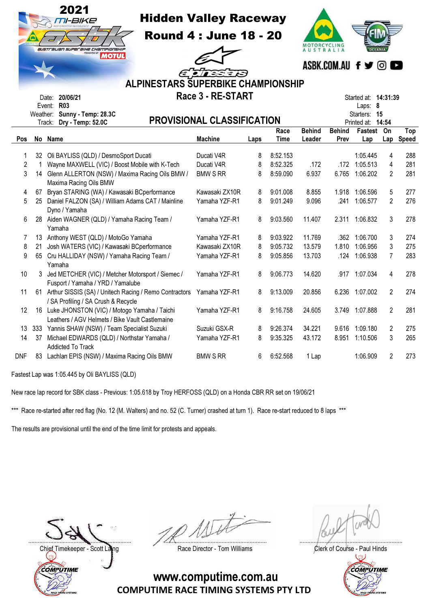|                                                                                                            |                                                                                                                         | 2021<br><b>Hidden Valley Raceway</b><br><b>Round 4: June 18 - 20</b><br>australian superaixe championskip<br><b>MOTUL</b><br>2 E ETELETES<br>ALPINESTARS SUPERBIKE CHAMPIONSHIP<br>Race 3 - RE-START<br>Date: 20/06/21 | YCLING<br><b>AUSTRALIA</b> | ASBK.COM.AU f ♥ ©<br>Started at: <b>14:31:39</b> |             |               |               |                                 |                |           |  |  |
|------------------------------------------------------------------------------------------------------------|-------------------------------------------------------------------------------------------------------------------------|------------------------------------------------------------------------------------------------------------------------------------------------------------------------------------------------------------------------|----------------------------|--------------------------------------------------|-------------|---------------|---------------|---------------------------------|----------------|-----------|--|--|
| Event: R03<br>Laps: 8<br>Weather: Sunny - Temp: 28.3C<br>Starters: 15<br><b>PROVISIONAL CLASSIFICATION</b> |                                                                                                                         |                                                                                                                                                                                                                        |                            |                                                  |             |               |               |                                 |                |           |  |  |
|                                                                                                            |                                                                                                                         | Track: Dry - Temp: 52.0C                                                                                                                                                                                               |                            |                                                  | Race        | <b>Behind</b> | <b>Behind</b> | Printed at: 14:54<br>Fastest On |                | Top       |  |  |
| <b>Pos</b>                                                                                                 |                                                                                                                         | No Name                                                                                                                                                                                                                | <b>Machine</b>             | Laps                                             | <b>Time</b> | Leader        | Prev          | Lap                             |                | Lap Speed |  |  |
| 1                                                                                                          |                                                                                                                         | 32 Oli BAYLISS (QLD) / DesmoSport Ducati                                                                                                                                                                               | Ducati V4R                 | 8                                                | 8:52.153    |               |               | 1:05.445                        | 4              | 288       |  |  |
| $\overline{2}$                                                                                             | $\mathbf{1}$                                                                                                            | Wayne MAXWELL (VIC) / Boost Mobile with K-Tech                                                                                                                                                                         | Ducati V4R                 | 8                                                | 8:52.325    | .172          |               | .172 1:05.513                   | 4              | 281       |  |  |
| 3                                                                                                          |                                                                                                                         | 14 Glenn ALLERTON (NSW) / Maxima Racing Oils BMW /                                                                                                                                                                     | <b>BMW S RR</b>            | 8                                                | 8:59.090    | 6.937         | 6.765         | 1:06.202                        | $\overline{2}$ | 281       |  |  |
|                                                                                                            |                                                                                                                         | Maxima Racing Oils BMW                                                                                                                                                                                                 |                            |                                                  |             |               |               |                                 |                |           |  |  |
| 4                                                                                                          |                                                                                                                         | 67 Bryan STARING (WA) / Kawasaki BCperformance                                                                                                                                                                         | Kawasaki ZX10R             | 8                                                | 9:01.008    | 8.855         | 1.918         | 1:06.596                        | 5              | 277       |  |  |
| 5                                                                                                          |                                                                                                                         | 25 Daniel FALZON (SA) / William Adams CAT / Mainline                                                                                                                                                                   | Yamaha YZF-R1              | 8                                                | 9:01.249    | 9.096         | .241          | 1:06.577                        | 2              | 276       |  |  |
|                                                                                                            |                                                                                                                         | Dyno / Yamaha                                                                                                                                                                                                          |                            |                                                  |             |               |               |                                 |                |           |  |  |
| 6                                                                                                          |                                                                                                                         | 28 Aiden WAGNER (QLD) / Yamaha Racing Team /<br>Yamaha                                                                                                                                                                 | Yamaha YZF-R1              | 8                                                | 9:03.560    | 11.407        | 2.311         | 1:06.832                        | 3              | 278       |  |  |
| 7                                                                                                          |                                                                                                                         | 13 Anthony WEST (QLD) / MotoGo Yamaha                                                                                                                                                                                  | Yamaha YZF-R1              | 8                                                | 9:03.922    | 11.769        |               | .362 1:06.700                   | 3              | 274       |  |  |
| 8                                                                                                          |                                                                                                                         | 21 Josh WATERS (VIC) / Kawasaki BCperformance                                                                                                                                                                          | Kawasaki ZX10R             | 8                                                | 9:05.732    | 13.579        | 1.810         | 1:06.956                        | 3              | 275       |  |  |
| 9                                                                                                          |                                                                                                                         | 65 Cru HALLIDAY (NSW) / Yamaha Racing Team /<br>Yamaha                                                                                                                                                                 | Yamaha YZF-R1              | 8                                                | 9:05.856    | 13.703        |               | .124 1:06.938                   | 7              | 283       |  |  |
| 10                                                                                                         |                                                                                                                         | 3 Jed METCHER (VIC) / Metcher Motorsport / Siemec /<br>Fusport / Yamaha / YRD / Yamalube                                                                                                                               | Yamaha YZF-R1              | 8                                                | 9:06.773    | 14.620        |               | .917 1:07.034                   | 4              | 278       |  |  |
| 11                                                                                                         |                                                                                                                         | 61 Arthur SISSIS (SA) / Unitech Racing / Remo Contractors Yamaha YZF-R1<br>/ SA Profiling / SA Crush & Recycle                                                                                                         |                            | 8                                                | 9:13.009    | 20.856        | 6.236         | 1:07.002                        | $\overline{2}$ | 274       |  |  |
| 12                                                                                                         |                                                                                                                         | 16 Luke JHONSTON (VIC) / Motogo Yamaha / Taichi<br>Leathers / AGV Helmets / Bike Vault Castlemaine                                                                                                                     | Yamaha YZF-R1              | 8                                                | 9:16.758    | 24.605        |               | 3.749 1:07.888                  | $\overline{2}$ | 281       |  |  |
| 13                                                                                                         |                                                                                                                         | 333 Yannis SHAW (NSW) / Team Specialist Suzuki                                                                                                                                                                         | Suzuki GSX-R               | 8                                                | 9:26.374    | 34.221        |               | 9.616 1:09.180                  | $\overline{2}$ | 275       |  |  |
| 14                                                                                                         |                                                                                                                         | 37 Michael EDWARDS (QLD) / Northstar Yamaha /                                                                                                                                                                          | Yamaha YZF-R1              | 8                                                | 9:35.325    | 43.172        | 8.951         | 1:10.506                        | 3              | 265       |  |  |
| DNF                                                                                                        | <b>Addicted To Track</b><br>83 Lachlan EPIS (NSW) / Maxima Racing Oils BMW<br><b>BMW S RR</b><br>6<br>6:52.568<br>1 Lap |                                                                                                                                                                                                                        |                            |                                                  |             |               |               | 1:06.909                        | 2              | 273       |  |  |

Fastest Lap was 1:05.445 by Oli BAYLISS (QLD)

New race lap record for SBK class - Previous: 1:05.618 by Troy HERFOSS (QLD) on a Honda CBR RR set on 19/06/21

\*\*\* Race re-started after red flag (No. 12 (M. Walters) and no. 52 (C. Turner) crashed at turn 1). Race re-start reduced to 8 laps \*\*\*

The results are provisional until the end of the time limit for protests and appeals.

Chief Timekeeper - Scott Laing **Race Director - Tom Williams** Chief Timekeeper - Scott Laing COMPUTIME

.................................................................. .................................................................. ..................................................................

 $\mathbb{Q}$ 

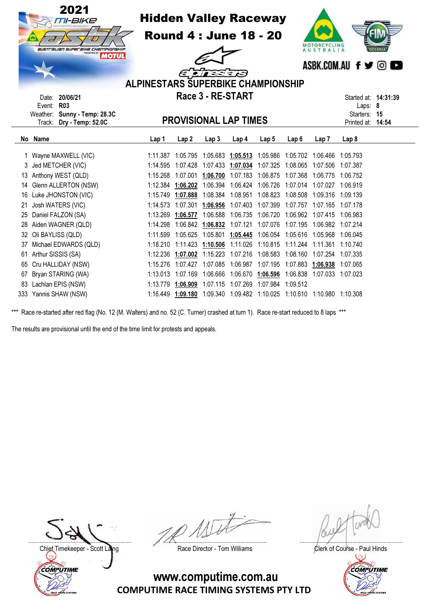| 2021<br><b>Hidden Valley Raceway</b><br>TI-BIKE<br><b>Round 4: June 18 - 20</b><br>MOTORCYCLING<br>AUSTRALIA<br>australian superaine championship<br><b>MOTUL</b><br>ASBK.COM.AU f y © C<br>$\epsilon$ ;<br><b>ALPINESTARS SUPERBIKE CHAMPIONSHIP</b><br>Race 3 - RE-START |                                                                |          |                   |                            |                                                            |                   |                  |                   | <b>OCEANIA</b>                    |  |
|----------------------------------------------------------------------------------------------------------------------------------------------------------------------------------------------------------------------------------------------------------------------------|----------------------------------------------------------------|----------|-------------------|----------------------------|------------------------------------------------------------|-------------------|------------------|-------------------|-----------------------------------|--|
|                                                                                                                                                                                                                                                                            | Date: 20/06/21<br><b>R03</b><br>Event:                         |          |                   |                            |                                                            |                   |                  |                   | Started at: 14:31:39<br>Laps: 8   |  |
|                                                                                                                                                                                                                                                                            | Sunny - Temp: 28.3C<br>Weather:<br>Dry - Temp: 52.0C<br>Track: |          |                   |                            | <b>PROVISIONAL LAP TIMES</b>                               |                   |                  |                   | Starters: 15<br>Printed at: 14:54 |  |
|                                                                                                                                                                                                                                                                            | No Name                                                        | Lap 1    | Lap <sub>2</sub>  | Lap <sub>3</sub>           | Lap 4                                                      | Lap <sub>5</sub>  | Lap <sub>6</sub> | Lap 7             | Lap 8                             |  |
|                                                                                                                                                                                                                                                                            | Wayne MAXWELL (VIC)                                            | 1:11.387 | 1:05.795          |                            | 1:05.683 1:05.513 1:05.986                                 |                   | 1:05.702         | 1:06.466          | 1:05.793                          |  |
|                                                                                                                                                                                                                                                                            | Jed METCHER (VIC)                                              | 1:14.595 | 1:07.428          |                            | 1:07.433 1:07.034                                          | 1:07.325          | 1:08.065         |                   | 1:07.506 1:07.387                 |  |
| 13                                                                                                                                                                                                                                                                         | Anthony WEST (QLD)                                             | 1:15.268 | 1:07.001          | 1:06.700                   | 1:07.183                                                   | 1:06.875          | 1:07.368         | 1:06.775          | 1:06.752                          |  |
| 14                                                                                                                                                                                                                                                                         | Glenn ALLERTON (NSW)                                           | 1:12.384 | 1:06.202          | 1:06.394                   | 1:06.424                                                   | 1:06.726          | 1:07.014         | 1:07.027          | 1:06.919                          |  |
| 16                                                                                                                                                                                                                                                                         | Luke JHONSTON (VIC)                                            | 1:15.749 | 1:07.888 1:08.384 |                            | 1:08.951                                                   | 1:08.823          | 1:08.508         | 1:09.316          | 1:09.139                          |  |
| 21                                                                                                                                                                                                                                                                         | Josh WATERS (VIC)                                              | 1:14.573 | 1:07.301          | 1:06.956                   | 1:07.403                                                   | 1:07.399          | 1:07.757         | 1:07.165 1:07.178 |                                   |  |
| 25                                                                                                                                                                                                                                                                         | Daniel FALZON (SA)                                             | 1:13.269 | 1:06.577          | 1:06.588                   | 1:06.735                                                   | 1:06.720          | 1:06.962         |                   | 1:07.415 1:06.983                 |  |
| 28                                                                                                                                                                                                                                                                         | Aiden WAGNER (QLD)                                             | 1:14.298 | 1:06.842          | 1:06.832                   | 1:07.121                                                   | 1:07.076          | 1:07.195         |                   | 1:06.982 1:07.214                 |  |
| 32                                                                                                                                                                                                                                                                         | Oli BAYLISS (QLD)                                              | 1:11.599 |                   | 1:05.625 1:05.801 1:05.445 |                                                            | 1:06.054 1:05.616 |                  | 1:05.968 1:06.045 |                                   |  |
| 37                                                                                                                                                                                                                                                                         | Michael EDWARDS (QLD)                                          | 1:18.210 | 1:11.423          | 1:10.506                   | 1:11.026                                                   | 1:10.815 1:11.244 |                  | 1:11.361          | 1:10.740                          |  |
| 61                                                                                                                                                                                                                                                                         | Arthur SISSIS (SA)                                             | 1:12.236 | 1:07.002          | 1:15.223                   | 1:07.216                                                   | 1:08.583          | 1:08.160         | 1:07.254          | 1:07.335                          |  |
| 65                                                                                                                                                                                                                                                                         | Cru HALLIDAY (NSW)                                             | 1:15.276 | 1:07.427          | 1:07.085                   | 1:06.987                                                   | 1:07.195          | 1:07.883         | 1:06.938          | 1:07.065                          |  |
| 67                                                                                                                                                                                                                                                                         | Bryan STARING (WA)                                             | 1:13.013 | 1:07.169 1:06.666 |                            | 1:06.670 1:06.596                                          |                   | 1:06.838         | 1:07.033 1:07.023 |                                   |  |
|                                                                                                                                                                                                                                                                            | 83 Lachlan EPIS (NSW)                                          |          |                   |                            | 1:13.779  1:06.909  1:07.115  1:07.269  1:07.984  1:09.512 |                   |                  |                   |                                   |  |

333 Yannis SHAW (NSW) 1:16.449 1:09.180 1:09.340 1:09.482 1:10.025 1:10.610 1:10.980 1:10.308

The results are provisional until the end of the time limit for protests and appeals.

Chief Timekeeper - Scott Laing Race Director - Tom Williams Clerk of Course - Paul Hinds<br>Clerk of Course - Paul Hinds COMPUTIME

.................................................................. .................................................................. ..................................................................

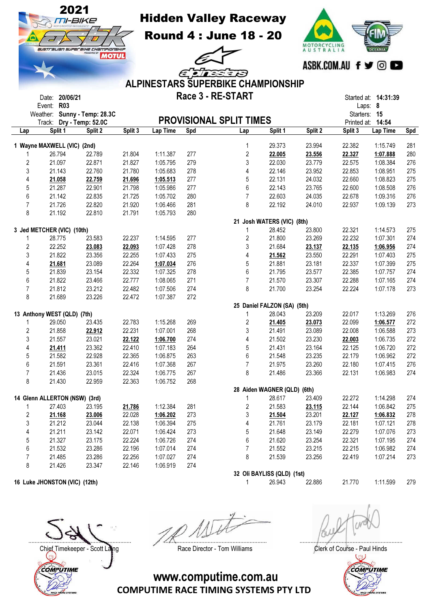

Round 4 : June 18 - 20



|                         |                               |                              |         |          |     | ELIESERS                                  |                             |         | സ്സ്ഡ് I <del>y</del> മ |                               |     |
|-------------------------|-------------------------------|------------------------------|---------|----------|-----|-------------------------------------------|-----------------------------|---------|-------------------------|-------------------------------|-----|
|                         |                               |                              |         |          |     | <b>ALPINESTARS SUPERBIKE CHAMPIONSHIP</b> |                             |         |                         |                               |     |
|                         |                               |                              |         |          |     |                                           |                             |         |                         |                               |     |
|                         | Date: 20/06/21                |                              |         |          |     | Race 3 - RE-START                         |                             |         |                         | Started at: 14:31:39          |     |
|                         | <b>R03</b><br>Event:          |                              |         |          |     |                                           |                             |         |                         | Laps: 8                       |     |
|                         | Weather: Sunny - Temp: 28.3C  |                              |         |          |     | <b>PROVISIONAL SPLIT TIMES</b>            |                             |         | Starters: 15            |                               |     |
| Lap                     | Track:<br>Split 1             | Dry - Temp: 52.0C<br>Split 2 | Split 3 | Lap Time | Spd | Lap                                       | Split 1                     | Split 2 | Split 3                 | Printed at: 14:54<br>Lap Time | Spd |
|                         |                               |                              |         |          |     |                                           |                             |         |                         |                               |     |
|                         | 1 Wayne MAXWELL (VIC) (2nd)   |                              |         |          |     | 1                                         | 29.373                      | 23.994  | 22.382                  | 1:15.749                      | 281 |
|                         | 26.794                        | 22.789                       | 21.804  | 1:11.387 | 277 | $\overline{\mathbf{c}}$                   | 22.005                      | 23.556  | 22.327                  | 1:07.888                      | 280 |
| $\overline{c}$          | 21.097                        | 22.871                       | 21.827  | 1:05.795 | 279 | 3                                         | 22.030                      | 23.779  | 22.575                  | 1:08.384                      | 276 |
| $\sqrt{3}$              | 21.143                        | 22.760                       | 21.780  | 1:05.683 | 278 | 4                                         | 22.146                      | 23.952  | 22.853                  | 1:08.951                      | 275 |
| 4                       | 21.058                        | 22.759                       | 21.696  | 1:05.513 | 277 | 5                                         | 22.131                      | 24.032  | 22.660                  | 1:08.823                      | 275 |
| 5                       | 21.287                        | 22.901                       | 21.798  | 1:05.986 | 277 | 6                                         | 22.143                      | 23.765  | 22.600                  | 1:08.508                      | 276 |
| 6                       | 21.142                        | 22.835                       | 21.725  | 1:05.702 | 280 | $\overline{7}$                            | 22.603                      | 24.035  | 22.678                  | 1:09.316                      | 276 |
| $\overline{7}$          | 21.726                        | 22.820                       | 21.920  | 1:06.466 | 281 | 8                                         | 22.192                      | 24.010  | 22.937                  | 1:09.139                      | 273 |
| 8                       | 21.192                        | 22.810                       | 21.791  | 1:05.793 | 280 |                                           |                             |         |                         |                               |     |
|                         |                               |                              |         |          |     |                                           | 21 Josh WATERS (VIC) (8th)  |         |                         |                               |     |
|                         | 3 Jed METCHER (VIC) (10th)    |                              |         |          |     | 1                                         | 28.452                      | 23.800  | 22.321                  | 1:14.573                      | 275 |
| 1                       | 28.775                        | 23.583                       | 22.237  | 1:14.595 | 277 | 2                                         | 21.800                      | 23.269  | 22.232                  | 1:07.301                      | 274 |
| $\overline{c}$          | 22.252                        | 23.083                       | 22.093  | 1:07.428 | 278 | 3                                         | 21.684                      | 23.137  | 22.135                  | 1:06.956                      | 274 |
| 3                       | 21.822                        | 23.356                       | 22.255  | 1:07.433 | 275 | 4                                         | 21.562                      | 23.550  | 22.291                  | 1:07.403                      | 275 |
| 4                       | 21.681                        | 23.089                       | 22.264  | 1:07.034 | 276 | 5                                         | 21.881                      | 23.181  | 22.337                  | 1:07.399                      | 275 |
| 5                       | 21.839                        | 23.154                       | 22.332  | 1:07.325 | 278 | 6                                         | 21.795                      | 23.577  | 22.385                  | 1:07.757                      | 274 |
| 6                       | 21.822                        | 23.466                       | 22.777  | 1:08.065 | 271 | 7                                         | 21.570                      | 23.307  | 22.288                  | 1:07.165                      | 274 |
| $\overline{7}$          | 21.812                        | 23.212                       | 22.482  | 1:07.506 | 274 | 8                                         | 21.700                      | 23.254  | 22.224                  | 1:07.178                      | 273 |
| 8                       | 21.689                        | 23.226                       | 22.472  | 1:07.387 | 272 |                                           |                             |         |                         |                               |     |
|                         |                               |                              |         |          |     |                                           | 25 Daniel FALZON (SA) (5th) |         |                         |                               |     |
|                         | 13 Anthony WEST (QLD) (7th)   |                              |         |          |     | $\mathbf{1}$                              | 28.043                      | 23.209  | 22.017                  | 1:13.269                      | 276 |
| 1                       | 29.050                        | 23.435                       | 22.783  | 1:15.268 | 269 | $\boldsymbol{2}$                          | 21.405                      | 23.073  | 22.099                  | 1:06.577                      | 272 |
| $\boldsymbol{2}$        | 21.858                        | 22.912                       | 22.231  | 1:07.001 | 268 | 3                                         | 21.491                      | 23.089  | 22.008                  | 1:06.588                      | 273 |
| 3                       | 21.557                        | 23.021                       | 22.122  | 1:06.700 | 274 | 4                                         | 21.502                      | 23.230  | 22.003                  | 1:06.735                      | 272 |
| 4                       | 21.411                        | 23.362                       | 22.410  | 1:07.183 | 264 | 5                                         | 21.431                      | 23.164  | 22.125                  | 1:06.720                      | 272 |
| 5                       | 21.582                        | 22.928                       | 22.365  | 1:06.875 | 263 | 6                                         | 21.548                      | 23.235  | 22.179                  | 1:06.962                      | 272 |
| 6                       | 21.591                        | 23.361                       | 22.416  | 1:07.368 | 267 | $\overline{7}$                            | 21.975                      | 23.260  | 22.180                  | 1:07.415                      | 276 |
| $\overline{7}$          | 21.436                        | 23.015                       | 22.324  | 1:06.775 | 267 | 8                                         | 21.486                      | 23.366  | 22.131                  | 1:06.983                      | 274 |
| 8                       | 21.430                        | 22.959                       | 22.363  | 1:06.752 | 268 |                                           |                             |         |                         |                               |     |
|                         |                               |                              |         |          |     |                                           | 28 Aiden WAGNER (QLD) (6th) |         |                         |                               |     |
|                         | 14 Glenn ALLERTON (NSW) (3rd) |                              |         |          |     | 1                                         | 28.617                      | 23.409  | 22.272                  | 1:14.298                      | 274 |
|                         | 27.403                        | 23.195                       | 21.786  | 1:12.384 | 281 | $\boldsymbol{2}$                          | 21.583                      | 23.115  | 22.144                  | 1:06.842                      | 275 |
| $\overline{\mathbf{c}}$ | 21.168                        | 23.006                       | 22.028  | 1:06.202 | 273 | 3                                         | 21.504                      | 23.201  | 22.127                  | 1:06.832                      | 278 |
| 3                       | 21.212                        | 23.044                       | 22.138  | 1:06.394 | 275 | 4                                         | 21.761                      | 23.179  | 22.181                  | 1:07.121                      | 278 |
| 4                       | 21.211                        | 23.142                       | 22.071  | 1:06.424 | 273 | 5                                         | 21.648                      | 23.149  | 22.279                  | 1:07.076                      | 273 |
| 5                       | 21.327                        | 23.175                       | 22.224  | 1:06.726 | 274 | 6                                         | 21.620                      | 23.254  | 22.321                  | 1:07.195                      | 274 |
| $\boldsymbol{6}$        | 21.532                        | 23.286                       | 22.196  | 1:07.014 | 274 | $\overline{7}$                            | 21.552                      | 23.215  | 22.215                  | 1:06.982                      | 274 |
| $\overline{7}$          | 21.485                        | 23.286                       | 22.256  | 1:07.027 | 274 | 8                                         | 21.539                      | 23.256  | 22.419                  | 1:07.214                      | 273 |
| 8                       | 21.426                        | 23.347                       | 22.146  | 1:06.919 | 274 |                                           |                             |         |                         |                               |     |
|                         |                               |                              |         |          |     |                                           | 32 Oli BAYLISS (QLD) (1st)  |         |                         |                               |     |
|                         | 16 Luke JHONSTON (VIC) (12th) |                              |         |          |     | $\mathbf{1}$                              | 26.943                      | 22.886  | 21.770                  | 1:11.599                      | 279 |

.................................................................. .................................................................. ..................................................................

Chief Timekeeper - Scott Laing Race Director - Tom Williams Clerk of Course - Paul Hinds<br>Clerk of Course - Paul Hinds COMPUTIME

australian superaine championship<br>ALOTUL

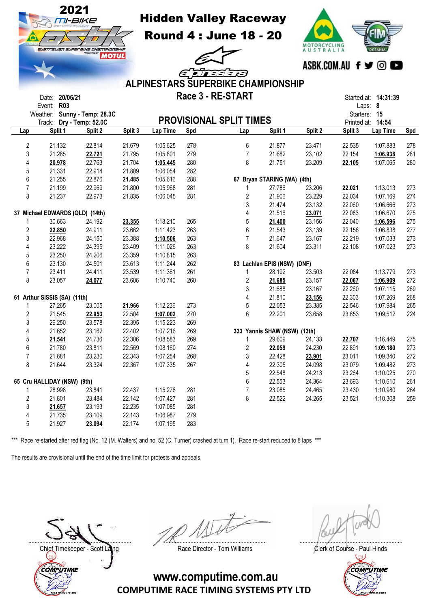

Hidden Valley Raceway

Round 4 : June 18 - 20

 $\epsilon$ e



|                |            |                                 |                              |         |          |            | <b>ALPINESTARS SUPERBIKE CHAMPIONSHIP</b> |                              |         |              |                                 |     |
|----------------|------------|---------------------------------|------------------------------|---------|----------|------------|-------------------------------------------|------------------------------|---------|--------------|---------------------------------|-----|
|                | Event: R03 | Date: 20/06/21                  |                              |         |          |            | Race 3 - RE-START                         |                              |         |              | Started at: 14:31:39<br>Laps: 8 |     |
|                |            | Track: Dry - Temp: 52.0C        | Weather: Sunny - Temp: 28.3C |         |          |            | <b>PROVISIONAL SPLIT TIMES</b>            |                              |         | Starters: 15 | Printed at: 14:54               |     |
| Lap            |            | Split 1                         | Split 2                      | Split 3 | Lap Time | <b>Spd</b> | Lap                                       | Split 1                      | Split 2 | Split 3      | <b>Lap Time</b>                 | Spd |
| $\overline{2}$ |            | 21.132                          | 22.814                       | 21.679  | 1:05.625 | 278        | 6                                         | 21.877                       | 23.471  | 22.535       | 1:07.883                        | 278 |
| 3              |            | 21.285                          | 22.721                       | 21.795  | 1:05.801 | 279        | $\overline{7}$                            | 21.682                       | 23.102  | 22.154       | 1:06.938                        | 281 |
| 4              |            | 20.978                          | 22.763                       | 21.704  | 1:05.445 | 280        | 8                                         | 21.751                       | 23.209  | 22.105       | 1:07.065                        | 280 |
|                |            | 21.331                          | 22.914                       | 21.809  | 1:06.054 | 282        |                                           |                              |         |              |                                 |     |
| 5              |            |                                 |                              |         |          | 288        |                                           |                              |         |              |                                 |     |
| 6              |            | 21.255                          | 22.876                       | 21.485  | 1:05.616 |            |                                           | 67 Bryan STARING (WA) (4th)  |         |              |                                 |     |
| $\overline{7}$ |            | 21.199                          | 22.969                       | 21.800  | 1:05.968 | 281        | 1                                         | 27.786                       | 23.206  | 22.021       | 1:13.013                        | 273 |
| 8              |            | 21.237                          | 22.973                       | 21.835  | 1:06.045 | 281        | $\sqrt{2}$                                | 21.906                       | 23.229  | 22.034       | 1:07.169                        | 274 |
|                |            |                                 |                              |         |          |            | 3                                         | 21.474                       | 23.132  | 22.060       | 1:06.666                        | 273 |
|                |            | 37 Michael EDWARDS (QLD) (14th) |                              |         |          |            | $\overline{4}$                            | 21.516                       | 23.071  | 22.083       | 1:06.670                        | 275 |
| 1              |            | 30.663                          | 24.192                       | 23.355  | 1:18.210 | 265        | $\overline{5}$                            | 21.400                       | 23.156  | 22.040       | 1:06.596                        | 275 |
| $\overline{2}$ |            | 22.850                          | 24.911                       | 23.662  | 1:11.423 | 263        | 6                                         | 21.543                       | 23.139  | 22.156       | 1:06.838                        | 277 |
| 3              |            | 22.968                          | 24.150                       | 23.388  | 1:10.506 | 263        | $\overline{7}$                            | 21.647                       | 23.167  | 22.219       | 1:07.033                        | 273 |
| 4              |            | 23.222                          | 24.395                       | 23.409  | 1:11.026 | 263        | 8                                         | 21.604                       | 23.311  | 22.108       | 1:07.023                        | 273 |
| 5              |            | 23.250                          | 24.206                       | 23.359  | 1:10.815 | 263        |                                           |                              |         |              |                                 |     |
| 6              |            | 23.130                          | 24.501                       | 23.613  | 1:11.244 | 262        |                                           | 83 Lachlan EPIS (NSW) (DNF)  |         |              |                                 |     |
| $\overline{7}$ |            | 23.411                          | 24.411                       | 23.539  | 1:11.361 | 261        | $\mathbf{1}$                              | 28.192                       | 23.503  | 22.084       | 1:13.779                        | 273 |
| 8              |            | 23.057                          | 24.077                       | 23.606  | 1:10.740 | 260        | $\overline{c}$                            | 21.685                       | 23.157  | 22.067       | 1:06.909                        | 272 |
|                |            |                                 |                              |         |          |            | $\mathfrak{S}$                            | 21.688                       | 23.167  | 22.260       | 1:07.115                        | 269 |
|                |            | 61 Arthur SISSIS (SA) (11th)    |                              |         |          |            | $\overline{\mathbf{4}}$                   | 21.810                       | 23.156  | 22.303       | 1:07.269                        | 268 |
| 1              |            | 27.265                          | 23.005                       | 21.966  | 1:12.236 | 273        | 5                                         | 22.053                       | 23.385  | 22.546       | 1:07.984                        | 265 |
| 2              |            | 21.545                          | 22.953                       | 22.504  | 1:07.002 | 270        | 6                                         | 22.201                       | 23.658  | 23.653       | 1:09.512                        | 224 |
| 3              |            | 29.250                          | 23.578                       | 22.395  | 1:15.223 | 269        |                                           |                              |         |              |                                 |     |
| 4              |            | 21.652                          | 23.162                       | 22.402  | 1:07.216 | 269        |                                           | 333 Yannis SHAW (NSW) (13th) |         |              |                                 |     |
| 5              |            | 21.541                          | 24.736                       | 22.306  | 1:08.583 | 269        | $\mathbf{1}$                              | 29.609                       | 24.133  | 22.707       | 1:16.449                        | 275 |
| 6              |            | 21.780                          | 23.811                       | 22.569  | 1:08.160 | 274        | $\overline{2}$                            | 22.059                       | 24.230  | 22.891       | 1:09.180                        | 273 |
| $\overline{7}$ |            | 21.681                          | 23.230                       | 22.343  | 1:07.254 | 268        | 3                                         | 22.428                       | 23.901  | 23.011       | 1:09.340                        | 272 |
| 8              |            | 21.644                          | 23.324                       | 22.367  | 1:07.335 | 267        | $\overline{\mathbf{4}}$                   | 22.305                       | 24.098  | 23.079       | 1:09.482                        | 273 |
|                |            |                                 |                              |         |          |            | 5                                         | 22.548                       | 24.213  | 23.264       | 1:10.025                        | 270 |
|                |            | 65 Cru HALLIDAY (NSW) (9th)     |                              |         |          |            | $6\,$                                     | 22.553                       | 24.364  | 23.693       | 1:10.610                        | 261 |
| 1              |            | 28.998                          | 23.841                       | 22.437  | 1:15.276 | 281        | $\overline{7}$                            | 23.085                       | 24.465  | 23.430       | 1:10.980                        | 264 |
| $\overline{2}$ |            | 21.801                          | 23.484                       | 22.142  | 1:07.427 | 281        | 8                                         | 22.522                       | 24.265  | 23.521       | 1:10.308                        | 259 |
| 3              |            | 21.657                          | 23.193                       | 22.235  | 1:07.085 | 281        |                                           |                              |         |              |                                 |     |
| 4              |            | 21.735                          | 23.109                       | 22.143  | 1:06.987 | 279        |                                           |                              |         |              |                                 |     |
| 5              |            | 21.927                          | 23.094                       | 22.174  | 1:07.195 | 283        |                                           |                              |         |              |                                 |     |
|                |            |                                 |                              |         |          |            |                                           |                              |         |              |                                 |     |

\*\*\* Race re-started after red flag (No. 12 (M. Walters) and no. 52 (C. Turner) crashed at turn 1). Race re-start reduced to 8 laps \*\*\*

The results are provisional until the end of the time limit for protests and appeals.

Chief Timekeeper - Scott Laing **Race Director - Tom Williams** Chief Timekeeper - Scott Laings Clerk of Course - Paul Hinds COMPUTIME

.................................................................. .................................................................. ..................................................................

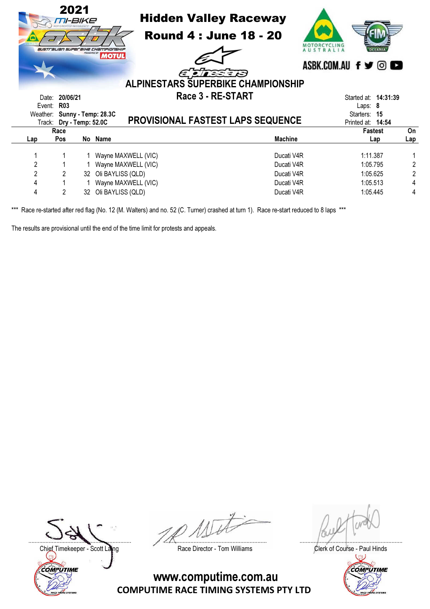|                |                                                          | 2021<br>TI-BIKE<br>PRESENTED BY | <b>Hidden Valley Raceway</b><br><b>Round 4: June 18 - 20</b><br><b>australian superaine Championship</b><br><b>MOTUL</b><br>EINEID<br>ALPINESTARS SUPERBIKE CHAMPIONSHIP | ASBK.COM.AU f y © C                  |     |
|----------------|----------------------------------------------------------|---------------------------------|--------------------------------------------------------------------------------------------------------------------------------------------------------------------------|--------------------------------------|-----|
| Date:          | 20/06/21                                                 |                                 | Race 3 - RE-START                                                                                                                                                        | Started at: <b>14:31:39</b>          |     |
| Event:         | <b>R03</b>                                               |                                 |                                                                                                                                                                          | Laps: $8$                            |     |
|                | Weather: Sunny - Temp: 28.3C<br>Track: Dry - Temp: 52.0C |                                 | <b>PROVISIONAL FASTEST LAPS SEQUENCE</b>                                                                                                                                 | Starters:<br>15<br>Printed at: 14:54 |     |
|                | Race                                                     |                                 |                                                                                                                                                                          | <b>Fastest</b>                       | On  |
| Lap            | Pos                                                      |                                 | <b>Machine</b><br>No Name                                                                                                                                                | Lap                                  | Lap |
|                |                                                          |                                 | Ducati V4R<br>1 Wayne MAXWELL (VIC)                                                                                                                                      | 1:11.387                             |     |
| $\overline{2}$ |                                                          |                                 | 1 Wayne MAXWELL (VIC)<br>Ducati V4R                                                                                                                                      | 1:05.795                             |     |
| 2              | $\mathbf{2}$                                             |                                 | 32 Oli BAYLISS (QLD)<br>Ducati V4R                                                                                                                                       | 1:05.625                             | 2   |
| 4              |                                                          |                                 | Wayne MAXWELL (VIC)<br>Ducati V4R                                                                                                                                        | 1:05.513                             | 4   |
| 4              | 2                                                        | 32                              | Oli BAYLISS (QLD)<br>Ducati V4R                                                                                                                                          | 1:05.445                             | 4   |

The results are provisional until the end of the time limit for protests and appeals.

Chief Timekeeper - Scott Laing Race Director - Tom Williams Clerk of Course - Paul Hinds<br>Clerk of Course - Paul Hinds COMPUTIME

.................................................................. .................................................................. ..................................................................

COMPUTIME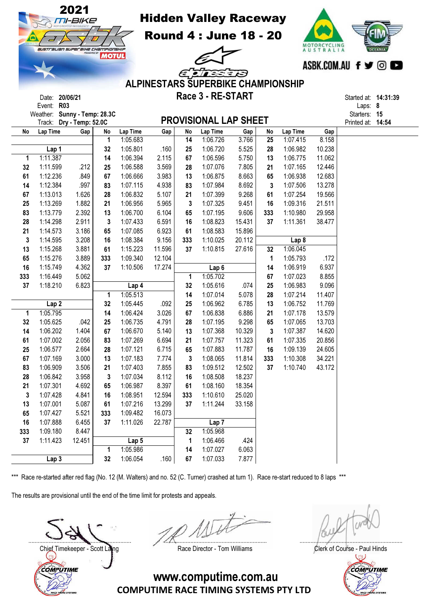



|              | Event: R03                   |        |     |                  |        |                 |                              |        |     |                  |        | Laps: $8$         |  |
|--------------|------------------------------|--------|-----|------------------|--------|-----------------|------------------------------|--------|-----|------------------|--------|-------------------|--|
|              | Weather: Sunny - Temp: 28.3C |        |     |                  |        |                 |                              |        |     |                  |        | Starters: 15      |  |
|              | Track: Dry - Temp: 52.0C     |        |     |                  |        |                 | <b>PROVISIONAL LAP SHEET</b> |        |     |                  |        | Printed at: 14:54 |  |
| No           | Lap Time                     | Gap    | No  | Lap Time         | Gap    | No              | Lap Time                     | Gap    | No  | Lap Time         | Gap    |                   |  |
|              |                              |        | 1   | 1:05.683         |        | $\overline{14}$ | 1:06.726                     | 3.766  | 25  | 1:07.415         | 8.158  |                   |  |
|              | Lap 1                        |        | 32  | 1:05.801         | .160   | 25              | 1:06.720                     | 5.525  | 28  | 1:06.982         | 10.238 |                   |  |
| 1            | 1:11.387                     |        | 14  | 1:06.394         | 2.115  | 67              | 1:06.596                     | 5.750  | 13  | 1:06.775         | 11.062 |                   |  |
| 32           | 1:11.599                     | .212   | 25  | 1:06.588         | 3.569  | 28              | 1:07.076                     | 7.805  | 21  | 1:07.165         | 12.446 |                   |  |
| 61           | 1:12.236                     | .849   | 67  | 1:06.666         | 3.983  | 13              | 1:06.875                     | 8.663  | 65  | 1:06.938         | 12.683 |                   |  |
| 14           | 1:12.384                     | .997   | 83  | 1:07.115         | 4.938  | 83              | 1:07.984                     | 8.692  | 3   | 1:07.506         | 13.278 |                   |  |
| 67           | 1:13.013                     | 1.626  | 28  | 1:06.832         | 5.107  | 21              | 1:07.399                     | 9.268  | 61  | 1:07.254         | 19.566 |                   |  |
| 25           | 1:13.269                     | 1.882  | 21  | 1:06.956         | 5.965  | 3               | 1:07.325                     | 9.451  | 16  | 1:09.316         | 21.511 |                   |  |
| 83           | 1:13.779                     | 2.392  | 13  | 1:06.700         | 6.104  | 65              | 1:07.195                     | 9.606  | 333 | 1:10.980         | 29.958 |                   |  |
| 28           | 1:14.298                     | 2.911  | 3   | 1:07.433         | 6.591  | 16              | 1:08.823                     | 15.431 | 37  | 1:11.361         | 38.477 |                   |  |
| 21           | 1:14.573                     | 3.186  | 65  | 1:07.085         | 6.923  | 61              | 1:08.583                     | 15.896 |     |                  |        |                   |  |
| 3            | 1:14.595                     | 3.208  | 16  | 1:08.384         | 9.156  | 333             | 1:10.025                     | 20.112 |     | Lap <sub>8</sub> |        |                   |  |
| 13           | 1:15.268                     | 3.881  | 61  | 1:15.223         | 11.596 | 37              | 1:10.815                     | 27.616 | 32  | 1:06.045         |        |                   |  |
| 65           | 1:15.276                     | 3.889  | 333 | 1:09.340         | 12.104 |                 |                              |        | 1   | 1:05.793         | .172   |                   |  |
| 16           | 1:15.749                     | 4.362  | 37  | 1:10.506         | 17.274 |                 | Lap <sub>6</sub>             |        | 14  | 1:06.919         | 6.937  |                   |  |
| 333          | 1:16.449                     | 5.062  |     |                  |        | 1               | 1:05.702                     |        | 67  | 1:07.023         | 8.855  |                   |  |
| 37           | 1:18.210                     | 6.823  |     | Lap 4            |        | 32              | 1:05.616                     | .074   | 25  | 1:06.983         | 9.096  |                   |  |
|              |                              |        | 1   | 1:05.513         |        | 14              | 1:07.014                     | 5.078  | 28  | 1:07.214         | 11.407 |                   |  |
|              | Lap <sub>2</sub>             |        | 32  | 1:05.445         | .092   | 25              | 1:06.962                     | 6.785  | 13  | 1:06.752         | 11.769 |                   |  |
| 1            | 1:05.795                     |        | 14  | 1:06.424         | 3.026  | 67              | 1:06.838                     | 6.886  | 21  | 1:07.178         | 13.579 |                   |  |
| 32           | 1:05.625                     | .042   | 25  | 1:06.735         | 4.791  | 28              | 1:07.195                     | 9.298  | 65  | 1:07.065         | 13.703 |                   |  |
| 14           | 1:06.202                     | 1.404  | 67  | 1:06.670         | 5.140  | 13              | 1:07.368                     | 10.329 | 3   | 1:07.387         | 14.620 |                   |  |
| 61           | 1:07.002                     | 2.056  | 83  | 1:07.269         | 6.694  | 21              | 1:07.757                     | 11.323 | 61  | 1:07.335         | 20.856 |                   |  |
| 25           | 1:06.577                     | 2.664  | 28  | 1:07.121         | 6.715  | 65              | 1:07.883                     | 11.787 | 16  | 1:09.139         | 24.605 |                   |  |
| 67           | 1:07.169                     | 3.000  | 13  | 1:07.183         | 7.774  | 3               | 1:08.065                     | 11.814 | 333 | 1:10.308         | 34.221 |                   |  |
| 83           | 1:06.909                     | 3.506  | 21  | 1:07.403         | 7.855  | 83              | 1:09.512                     | 12.502 | 37  | 1:10.740         | 43.172 |                   |  |
| 28           | 1:06.842                     | 3.958  | 3   | 1:07.034         | 8.112  | 16              | 1:08.508                     | 18.237 |     |                  |        |                   |  |
| 21           | 1:07.301                     | 4.692  | 65  | 1:06.987         | 8.397  | 61              | 1:08.160                     | 18.354 |     |                  |        |                   |  |
| $\mathbf{3}$ | 1:07.428                     | 4.841  | 16  | 1:08.951         | 12.594 | 333             | 1:10.610                     | 25.020 |     |                  |        |                   |  |
| 13           | 1:07.001                     | 5.087  | 61  | 1:07.216         | 13.299 | 37              | 1:11.244                     | 33.158 |     |                  |        |                   |  |
| 65           | 1:07.427                     | 5.521  | 333 | 1:09.482         | 16.073 |                 |                              |        |     |                  |        |                   |  |
| 16           | 1:07.888                     | 6.455  | 37  | 1:11.026         | 22.787 |                 | Lap <sub>7</sub>             |        |     |                  |        |                   |  |
| 333          | 1:09.180                     | 8.447  |     |                  |        | 32              | 1:05.968                     |        |     |                  |        |                   |  |
| 37           | 1:11.423                     | 12.451 |     | Lap <sub>5</sub> |        | 1               | 1:06.466                     | .424   |     |                  |        |                   |  |
|              |                              |        | 1   | 1:05.986         |        | 14              | 1:07.027                     | 6.063  |     |                  |        |                   |  |
|              | Lap <sub>3</sub>             |        | 32  | 1:06.054         | .160   | 67              | 1:07.033                     | 7.877  |     |                  |        |                   |  |

The results are provisional until the end of the time limit for protests and appeals.

COMPUTIME



.................................................................. .................................................................. .................................................................. Chief Timekeeper - Scott Laing **Race Director - Tom Williams** Clerk of Course - Paul Hinds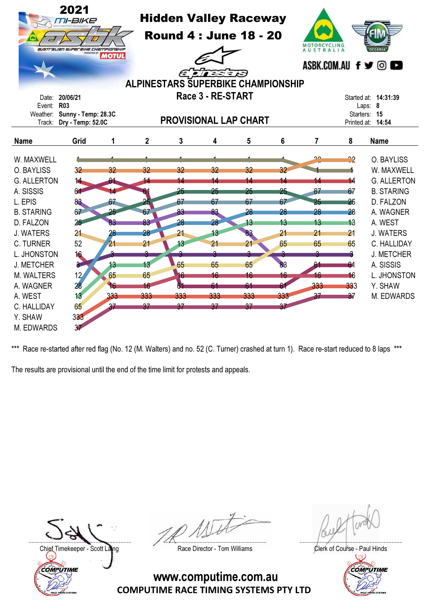|                      | 2021<br>M-BIKE<br>australian superaine championship | <b>MOTUL</b>    |             | <b>Hidden Valley Raceway</b><br><b>Round 4 : June 18 - 20</b><br><b>ALPINESTARS SUPERBIKE CHAMPIONSHIP</b> | ELIEED            |     |     | MOTORCYCLING<br><b>AUSTRALIA</b> |                 | OCEANIA<br>ASBK.COM.AU $f \triangleright \bigcirc$ $\bigcirc$ |
|----------------------|-----------------------------------------------------|-----------------|-------------|------------------------------------------------------------------------------------------------------------|-------------------|-----|-----|----------------------------------|-----------------|---------------------------------------------------------------|
| Date:                | 20/06/21                                            |                 |             |                                                                                                            | Race 3 - RE-START |     |     |                                  |                 | Started at: <b>14:31:39</b>                                   |
| Event: R03<br>Track: | Weather: Sunny - Temp: 28.3C<br>Dry - Temp: 52.0C   |                 |             | <b>PROVISIONAL LAP CHART</b>                                                                               |                   |     |     |                                  |                 | Laps: 8<br>Starters: 15<br>Printed at: 14:54                  |
| <b>Name</b>          | Grid                                                | 1               | $\mathbf 2$ | 3                                                                                                          | 4                 | 5   | 6   | 7                                | 8               | <b>Name</b>                                                   |
| W. MAXWELL           |                                                     |                 |             |                                                                                                            |                   |     |     | $\sim$                           | ~2              | O. BAYLISS                                                    |
| O. BAYLISS           | 32                                                  | 32              | 32          | 32                                                                                                         | 32                | 32  | 32  |                                  |                 | W. MAXWELL                                                    |
| <b>G. ALLERTON</b>   | 14                                                  | 61              |             | 14                                                                                                         | 14                | 14  | 14  | 14                               | 14              | <b>G. ALLERTON</b>                                            |
| A. SISSIS            | 64                                                  | 14              |             | 25                                                                                                         | 25                | 25  | 25  | 67                               | 67              | <b>B. STARING</b>                                             |
| L. EPIS              | 83                                                  | 67              | 25          | 67                                                                                                         | 67                | 67  | 67  | 25                               | 25              | D. FALZON                                                     |
| <b>B. STARING</b>    | 67                                                  | 25              | 67          | 83                                                                                                         | 83                | 28  | 28  | 28                               | 28              | A. WAGNER                                                     |
| D. FALZON            | 25                                                  | 83              | 83          | 28                                                                                                         | 28                | 13  | 13  | 13                               | 13              | A. WEST                                                       |
| <b>J. WATERS</b>     | 21                                                  | 28              | 28          | 21                                                                                                         | 13                | 83  | 21  | 21                               | 21              | <b>J. WATERS</b>                                              |
| <b>C. TURNER</b>     | 52                                                  | 21              | 21          | 13                                                                                                         | 21                | 21  | 65  | 65                               | 65              | C. HALLIDAY                                                   |
| L. JHONSTON          | 16                                                  |                 |             |                                                                                                            | ٩                 | A   |     |                                  |                 | <b>J. METCHER</b>                                             |
| <b>J. METCHER</b>    | 3                                                   | 13 <sup>°</sup> | 13          | 65                                                                                                         | 65                | 65  | 83  | 61                               | 61              | A. SISSIS                                                     |
| M. WALTERS           | 12 <sub>1</sub>                                     | 65              | 65          | 16                                                                                                         | 16                | 16  | 16  | 16                               | 16              | L. JHONSTON                                                   |
| A. WAGNER            | 28                                                  | 16              | 16          | 61                                                                                                         | 61                | 61  | 61  | 333                              | 333             | Y. SHAW                                                       |
| A. WEST              | 13                                                  | 333             | 333         | 333                                                                                                        | 333               | 333 | 333 | 37                               | $\overline{37}$ | M. EDWARDS                                                    |
| C. HALLIDAY          | 65                                                  | 37              | 37          | 37                                                                                                         | 37                | 37  | 37  |                                  |                 |                                                               |
| Y. SHAW              | 333                                                 |                 |             |                                                                                                            |                   |     |     |                                  |                 |                                                               |
| M. EDWARDS           | 37                                                  |                 |             |                                                                                                            |                   |     |     |                                  |                 |                                                               |

The results are provisional until the end of the time limit for protests and appeals.

Chief Timekeeper - Scott Laing Race Director - Tom Williams Clerk of Course - Paul Hinds<br>Clerk of Course - Paul Hinds COMPUTIME

.................................................................. .................................................................. ..................................................................

COMPUTIME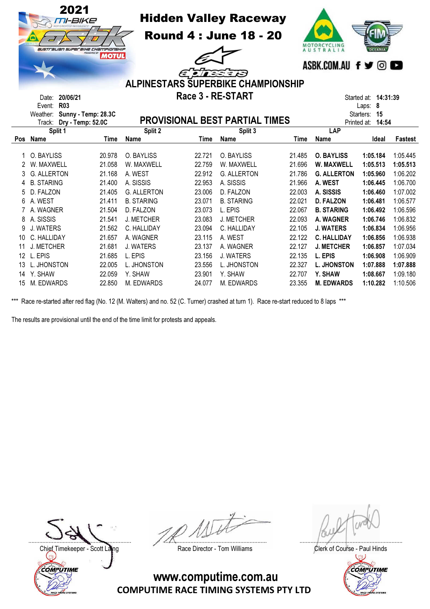|     | 2021<br><i>TII-BIKE</i><br>G<br>australian superaike championskip<br>20/06/21<br>Date: | <b>MOTUL</b> |                    | Race 3 - RE-START | <b>Hidden Valley Raceway</b><br><b>Round 4 : June 18 - 20</b><br><b>ALPINESTARS SUPERBIKE CHAMPIONSHIP</b> |             | MOTORCYCLING<br>AUSTRALIA<br>ASBK.COM.AU f y © O | <b>OCEANIA</b><br>Started at: <b>14:31:39</b> |                |
|-----|----------------------------------------------------------------------------------------|--------------|--------------------|-------------------|------------------------------------------------------------------------------------------------------------|-------------|--------------------------------------------------|-----------------------------------------------|----------------|
|     | <b>R03</b><br>Event:                                                                   |              |                    |                   |                                                                                                            |             |                                                  | Laps: 8                                       |                |
|     | Weather: Sunny - Temp: 28.3C<br>Dry - Temp: 52.0C<br>Track:                            |              |                    |                   | PROVISIONAL BEST PARTIAL TIMES                                                                             |             | Printed at:                                      | 15<br>Starters:<br>14:54                      |                |
|     | Split 1                                                                                |              | Split 2            |                   | Split 3                                                                                                    |             | LAP                                              |                                               |                |
| Pos | Name                                                                                   | <b>Time</b>  | <b>Name</b>        | <b>Time</b>       | <b>Name</b>                                                                                                | <b>Time</b> | <b>Name</b>                                      | Ideal                                         | <b>Fastest</b> |
| 1   | O. BAYLISS                                                                             | 20.978       | O. BAYLISS         | 22.721            | O. BAYLISS                                                                                                 | 21.485      | <b>O. BAYLISS</b>                                | 1:05.184                                      | 1:05.445       |
|     | W. MAXWELL                                                                             | 21.058       | W. MAXWELL         | 22.759            | W. MAXWELL                                                                                                 | 21.696      | W. MAXWELL                                       | 1:05.513                                      | 1:05.513       |
|     | <b>G. ALLERTON</b>                                                                     | 21.168       | A. WEST            | 22.912            | <b>G. ALLERTON</b>                                                                                         | 21.786      | <b>G. ALLERTON</b>                               | 1:05.960                                      | 1:06.202       |
| 4   | <b>B. STARING</b>                                                                      | 21.400       | A. SISSIS          | 22.953            | A. SISSIS                                                                                                  | 21.966      | A. WEST                                          | 1:06.445                                      | 1:06.700       |
| 5   | D. FALZON                                                                              | 21.405       | <b>G. ALLERTON</b> | 23.006            | D. FALZON                                                                                                  | 22.003      | A. SISSIS                                        | 1:06.460                                      | 1:07.002       |
| 6   | A. WEST                                                                                | 21.411       | <b>B. STARING</b>  | 23.071            | <b>B. STARING</b>                                                                                          | 22.021      | <b>D. FALZON</b>                                 | 1:06.481                                      | 1:06.577       |
|     | A. WAGNER                                                                              | 21.504       | D. FALZON          | 23.073            | L. EPIS                                                                                                    | 22.067      | <b>B. STARING</b>                                | 1:06.492                                      | 1:06.596       |
| 8   | A. SISSIS                                                                              | 21.541       | J. METCHER         | 23.083            | J. METCHER                                                                                                 | 22.093      | A. WAGNER                                        | 1:06.746                                      | 1:06.832       |
| 9   | <b>J. WATERS</b>                                                                       | 21.562       | C. HALLIDAY        | 23.094            | C. HALLIDAY                                                                                                | 22.105      | <b>J. WATERS</b>                                 | 1:06.834                                      | 1:06.956       |
| 10  | C. HALLIDAY                                                                            | 21.657       | A. WAGNER          | 23.115            | A. WEST                                                                                                    | 22.122      | <b>C. HALLIDAY</b>                               | 1:06.856                                      | 1:06.938       |
| 11  | J. METCHER                                                                             | 21.681       | <b>J. WATERS</b>   | 23.137            | A. WAGNER                                                                                                  | 22.127      | <b>J. METCHER</b>                                | 1:06.857                                      | 1:07.034       |
| 12  | L. EPIS                                                                                | 21.685       | L. EPIS            | 23.156            | <b>J. WATERS</b>                                                                                           | 22.135      | L. EPIS                                          | 1:06.908                                      | 1:06.909       |
| 13  | L. JHONSTON                                                                            | 22.005       | L. JHONSTON        | 23.556            | L. JHONSTON                                                                                                | 22.327      | <b>L. JHONSTON</b>                               | 1:07.888                                      | 1:07.888       |
| 14  | Y. SHAW                                                                                | 22.059       | Y. SHAW            | 23.901            | Y. SHAW                                                                                                    | 22.707      | Y. SHAW                                          | 1:08.667                                      | 1:09.180       |
| 15  | M. EDWARDS                                                                             | 22.850       | M. EDWARDS         | 24.077            | M. EDWARDS                                                                                                 | 23.355      | <b>M. EDWARDS</b>                                | 1:10.282                                      | 1:10.506       |

The results are provisional until the end of the time limit for protests and appeals.

Chief Timekeeper - Scott Laing Race Director - Tom Williams Clerk of Course - Paul Hinds<br>Clerk of Course - Paul Hinds COMPUTIME

.................................................................. .................................................................. ..................................................................

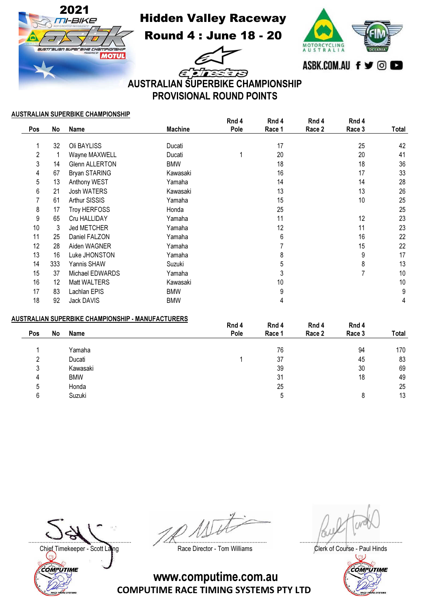

Hidden Valley Raceway

Round 4 : June 18 - 20



ETTE 3 E A AUSTRALIAN SUPERBIKE CHAMPIONSHIP PROVISIONAL ROUND POINTS

## AUSTRALIAN SUPERBIKE CHAMPIONSHIP

|     |     |                       |                | Rnd 4 | Rnd 4  | Rnd 4  | Rnd 4  |       |
|-----|-----|-----------------------|----------------|-------|--------|--------|--------|-------|
| Pos | No  | Name                  | <b>Machine</b> | Pole  | Race 1 | Race 2 | Race 3 | Total |
|     | 32  | Oli BAYLISS           | Ducati         |       | 17     |        | 25     | 42    |
| 2   |     | Wayne MAXWELL         | Ducati         |       | 20     |        | 20     | 41    |
| 3   | 14  | <b>Glenn ALLERTON</b> | <b>BMW</b>     |       | 18     |        | 18     | 36    |
| 4   | 67  | Bryan STARING         | Kawasaki       |       | 16     |        | 17     | 33    |
| 5   | 13  | Anthony WEST          | Yamaha         |       | 14     |        | 14     | 28    |
| 6   | 21  | <b>Josh WATERS</b>    | Kawasaki       |       | 13     |        | 13     | 26    |
|     | 61  | Arthur SISSIS         | Yamaha         |       | 15     |        | 10     | 25    |
| 8   | 17  | <b>Troy HERFOSS</b>   | Honda          |       | 25     |        |        | 25    |
| 9   | 65  | Cru HALLIDAY          | Yamaha         |       | 11     |        | 12     | 23    |
| 10  | 3   | Jed METCHER           | Yamaha         |       | 12     |        | 11     | 23    |
| 11  | 25  | Daniel FALZON         | Yamaha         |       | 6      |        | 16     | 22    |
| 12  | 28  | Aiden WAGNER          | Yamaha         |       |        |        | 15     | 22    |
| 13  | 16  | Luke JHONSTON         | Yamaha         |       | 8      |        | 9      | 17    |
| 14  | 333 | Yannis SHAW           | Suzuki         |       | 5      |        | 8      | 13    |
| 15  | 37  | Michael EDWARDS       | Yamaha         |       | 3      |        | 7      | 10    |
| 16  | 12  | <b>Matt WALTERS</b>   | Kawasaki       |       | 10     |        |        | 10    |
| 17  | 83  | Lachlan EPIS          | <b>BMW</b>     |       | 9      |        |        | 9     |
| 18  | 92  | Jack DAVIS            | <b>BMW</b>     |       | 4      |        |        | 4     |

## AUSTRALIAN SUPERBIKE CHAMPIONSHIP - MANUFACTURERS

|     |    |            | Rnd 4 | Rnd 4  | Rnd 4  | Rnd 4  |       |
|-----|----|------------|-------|--------|--------|--------|-------|
| Pos | No | Name       | Pole  | Race 1 | Race 2 | Race 3 | Total |
|     |    | Yamaha     |       | 76     |        | 94     | 170   |
| ົ   |    | Ducati     |       | 37     |        | 45     | 83    |
| 3   |    | Kawasaki   |       | 39     |        | 30     | 69    |
| 4   |    | <b>BMW</b> |       | 31     |        | 18     | 49    |
| 5   |    | Honda      |       | 25     |        |        | 25    |
| 6   |    | Suzuki     |       | '5     |        | 8      | 13    |
|     |    |            |       |        |        |        |       |

Chief Timekeeper - Scott Laing **Race Director - Tom Williams** Chief Timekeeper - Scott Laings Clerk of Course - Paul Hinds COMPUTIME

.................................................................. .................................................................. ..................................................................

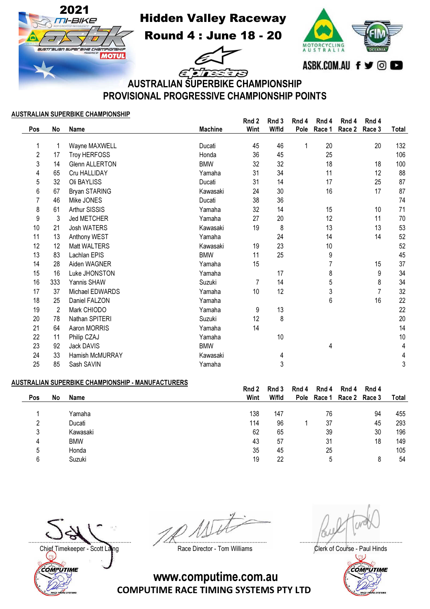Hidden Valley Raceway

Round 4 : June 18 - 20



ELE SEB AUSTRALIAN SUPERBIKE CHAMPIONSHIP PROVISIONAL PROGRESSIVE CHAMPIONSHIP POINTS

## AUSTRALIAN SUPERBIKE CHAMPIONSHIP

2021<br>*חופ-וחו* 

USTE ALIAN SUPP

BIHE CHAMPIONSHI

**MOTUL** 

|                |                |                       |                | Rnd 2          | Rnd 3 | Rnd 4 | Rnd 4  | Rnd 4  | Rnd 4  |       |
|----------------|----------------|-----------------------|----------------|----------------|-------|-------|--------|--------|--------|-------|
| Pos            | No             | Name                  | <b>Machine</b> | Wint           | W/fld | Pole  | Race 1 | Race 2 | Race 3 | Total |
|                |                |                       |                |                |       |       |        |        |        |       |
| 1              | 1              | Wayne MAXWELL         | Ducati         | 45             | 46    | 1     | 20     |        | 20     | 132   |
| $\overline{2}$ | 17             | Troy HERFOSS          | Honda          | 36             | 45    |       | 25     |        |        | 106   |
| 3              | 14             | <b>Glenn ALLERTON</b> | <b>BMW</b>     | 32             | 32    |       | 18     |        | 18     | 100   |
| 4              | 65             | Cru HALLIDAY          | Yamaha         | 31             | 34    |       | 11     |        | 12     | 88    |
| 5              | 32             | Oli BAYLISS           | Ducati         | 31             | 14    |       | 17     |        | 25     | 87    |
| 6              | 67             | Bryan STARING         | Kawasaki       | 24             | 30    |       | 16     |        | 17     | 87    |
| 7              | 46             | Mike JONES            | Ducati         | 38             | 36    |       |        |        |        | 74    |
| 8              | 61             | Arthur SISSIS         | Yamaha         | 32             | 14    |       | 15     |        | 10     | 71    |
| 9              | 3              | Jed METCHER           | Yamaha         | 27             | 20    |       | 12     |        | 11     | 70    |
| 10             | 21             | Josh WATERS           | Kawasaki       | 19             | 8     |       | 13     |        | 13     | 53    |
| 11             | 13             | Anthony WEST          | Yamaha         |                | 24    |       | 14     |        | 14     | 52    |
| 12             | 12             | Matt WALTERS          | Kawasaki       | 19             | 23    |       | 10     |        |        | 52    |
| 13             | 83             | Lachlan EPIS          | <b>BMW</b>     | 11             | 25    |       | 9      |        |        | 45    |
| 14             | 28             | Aiden WAGNER          | Yamaha         | 15             |       |       |        |        | 15     | 37    |
| 15             | 16             | Luke JHONSTON         | Yamaha         |                | 17    |       | 8      |        | 9      | 34    |
| 16             | 333            | Yannis SHAW           | Suzuki         | $\overline{7}$ | 14    |       | 5      |        | 8      | 34    |
| 17             | 37             | Michael EDWARDS       | Yamaha         | 10             | 12    |       | 3      |        | 7      | 32    |
| 18             | 25             | Daniel FALZON         | Yamaha         |                |       |       | 6      |        | 16     | 22    |
| 19             | $\overline{2}$ | Mark CHIODO           | Yamaha         | 9              | 13    |       |        |        |        | 22    |
| 20             | 78             | Nathan SPITERI        | Suzuki         | 12             | 8     |       |        |        |        | 20    |
| 21             | 64             | Aaron MORRIS          | Yamaha         | 14             |       |       |        |        |        | 14    |
| 22             | 11             | Philip CZAJ           | Yamaha         |                | 10    |       |        |        |        | 10    |
| 23             | 92             | Jack DAVIS            | <b>BMW</b>     |                |       |       | 4      |        |        | 4     |
| 24             | 33             | Hamish McMURRAY       | Kawasaki       |                | 4     |       |        |        |        | 4     |
| 25             | 85             | Sash SAVIN            | Yamaha         |                | 3     |       |        |        |        | 3     |
|                |                |                       |                |                |       |       |        |        |        |       |

## AUSTRALIAN SUPERBIKE CHAMPIONSHIP - MANUFACTURERS

|     |    |            | Rnd 2 | Rnd 3 | Rnd 4       | Rnd 4  | Rnd 4 | Rnd 4         |       |
|-----|----|------------|-------|-------|-------------|--------|-------|---------------|-------|
| Pos | No | Name       | Wint  | W/fld | <b>Pole</b> | Race 1 |       | Race 2 Race 3 | Total |
|     |    |            |       |       |             |        |       |               |       |
|     |    | Yamaha     | 138   | 147   |             | 76     |       | 94            | 455   |
|     |    | Ducati     | 114   | 96    |             | 37     |       | 45            | 293   |
| 3   |    | Kawasaki   | 62    | 65    |             | 39     |       | 30            | 196   |
| 4   |    | <b>BMW</b> | 43    | 57    |             | 31     |       | 18            | 149   |
| 5   |    | Honda      | 35    | 45    |             | 25     |       |               | 105   |
| 6   |    | Suzuki     | 19    | 22    |             | 5      |       |               | 54    |
|     |    |            |       |       |             |        |       |               |       |

.................................................................. .................................................................. ..................................................................

Chief Timekeeper - Scott Laing **Race Director - Tom Williams** Chief Timekeeper - Scott Laings Clerk of Course - Paul Hinds COMPUTIME



www.computime.com.au

COMPUTIME RACE TIMING SYSTEMS PTY LTD